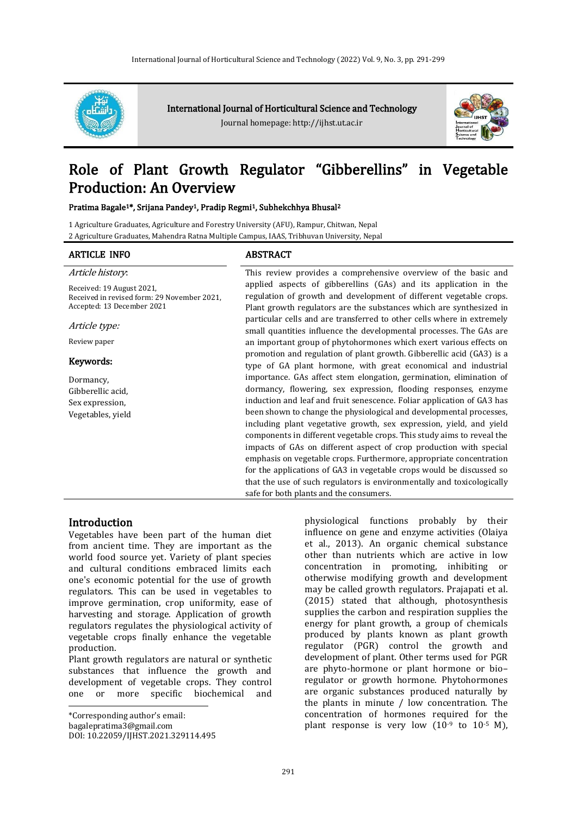

International Journal of Horticultural Science and Technology

Journal homepage: http://ijhst.ut.ac.ir



# Role of Plant Growth Regulator "Gibberellins" in Vegetable Production: An Overview

# Pratima Bagale1\*, Srijana Pandey1, Pradip Regmi1, Subhekchhya Bhusal<sup>2</sup>

1 Agriculture Graduates, Agriculture and Forestry University (AFU), Rampur, Chitwan, Nepal 2 Agriculture Graduates, Mahendra Ratna Multiple Campus, IAAS, Tribhuvan University, Nepal

#### ARTICLE INFO ABSTRACT

| <i>Article history.</i>                                                                                | This review provides a comprehensive overview of the basic and                                                                                                                                                |
|--------------------------------------------------------------------------------------------------------|---------------------------------------------------------------------------------------------------------------------------------------------------------------------------------------------------------------|
| Received: 19 August 2021,<br>Received in revised form: 29 November 2021,<br>Accepted: 13 December 2021 | applied aspects of gibberellins (GAs) and its application in the<br>regulation of growth and development of different vegetable crops.<br>Plant growth regulators are the substances which are synthesized in |
| Article type:                                                                                          | particular cells and are transferred to other cells where in extremely<br>small quantities influence the developmental processes. The GAs are                                                                 |
| Review paper                                                                                           | an important group of phytohormones which exert various effects on                                                                                                                                            |
| Keywords:                                                                                              | promotion and regulation of plant growth. Gibberellic acid (GA3) is a<br>type of GA plant hormone, with great economical and industrial                                                                       |
| Dormancy,                                                                                              | importance. GAs affect stem elongation, germination, elimination of                                                                                                                                           |
| Gibberellic acid,                                                                                      | dormancy, flowering, sex expression, flooding responses, enzyme                                                                                                                                               |
| Sex expression,                                                                                        | induction and leaf and fruit senescence. Foliar application of GA3 has                                                                                                                                        |
| Vegetables, yield                                                                                      | been shown to change the physiological and developmental processes,                                                                                                                                           |
|                                                                                                        | including plant vegetative growth, sex expression, yield, and yield                                                                                                                                           |
|                                                                                                        | components in different vegetable crops. This study aims to reveal the                                                                                                                                        |
|                                                                                                        | impacts of GAs on different aspect of crop production with special                                                                                                                                            |
|                                                                                                        | emphasis on vegetable crops. Furthermore, appropriate concentration                                                                                                                                           |
|                                                                                                        | for the applications of GA3 in vegetable crops would be discussed so                                                                                                                                          |
|                                                                                                        | that the use of such regulators is environmentally and toxicologically                                                                                                                                        |
|                                                                                                        | safe for both plants and the consumers.                                                                                                                                                                       |
|                                                                                                        |                                                                                                                                                                                                               |

# **Introduction**

Vegetables have been part of the human diet from ancient time. They are important as the world food source yet. Variety of plant species and cultural conditions embraced limits each one's economic potential for the use of growth regulators. This can be used in vegetables to improve germination, crop uniformity, ease of harvesting and storage. Application of growth regulators regulates the physiological activity of vegetable crops finally enhance the vegetable production.

Plant growth regulators are natural or synthetic substances that influence the growth and development of vegetable crops. They control one or more specific biochemical and

 $\overline{a}$ \*Corresponding author's email:

bagalepratima3@gmail.com

DOI: 10.22059/IJHST.2021.329114.495

physiological functions probably by their influence on gene and enzyme activities (Olaiya et al., 2013). An organic chemical substance other than nutrients which are active in low concentration in promoting, inhibiting or otherwise modifying growth and development may be called growth regulators. Prajapati et al. (2015) stated that although, photosynthesis supplies the carbon and respiration supplies the energy for plant growth, a group of chemicals produced by plants known as plant growth regulator (PGR) control the growth and development of plant. Other terms used for PGR are phyto-hormone or plant hormone or bio– regulator or growth hormone. Phytohormones are organic substances produced naturally by the plants in minute / low concentration. The concentration of hormones required for the plant response is very low  $(10^{-9}$  to  $10^{-5}$  M),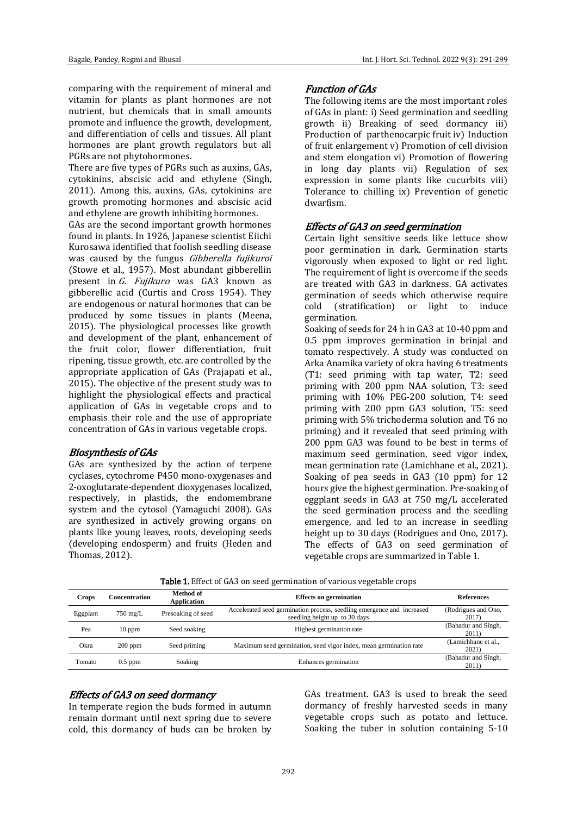comparing with the requirement of mineral and vitamin for plants as plant hormones are not nutrient, but chemicals that in small amounts promote and influence the growth, development, and differentiation of cells and tissues. All plant hormones are plant growth regulators but all PGRs are not phytohormones.

There are five types of PGRs such as auxins, GAs, cytokinins, abscisic acid and ethylene (Singh, 2011). Among this, auxins, GAs, cytokinins are growth promoting hormones and abscisic acid and ethylene are growth inhibiting hormones.

GAs are the second important growth hormones found in plants. In 1926, Japanese scientist Eiichi Kurosawa identified that foolish seedling disease was caused by the fungus Gibberella fujikuroi (Stowe et al., 1957). Most abundant gibberellin present in G. Fujikuro was GA3 known as gibberellic acid (Curtis and Cross 1954). They are endogenous or natural hormones that can be produced by some tissues in plants (Meena, 2015). The physiological processes like growth and development of the plant, enhancement of the fruit color, flower differentiation, fruit ripening, tissue growth, etc. are controlled by the appropriate application of GAs (Prajapati et al., 2015). The objective of the present study was to highlight the physiological effects and practical application of GAs in vegetable crops and to emphasis their role and the use of appropriate concentration of GAs in various vegetable crops.

#### Biosynthesis of GAs

GAs are synthesized by the action of terpene cyclases, cytochrome P450 mono-oxygenases and 2-oxoglutarate-dependent dioxygenases localized, respectively, in plastids, the endomembrane system and the cytosol (Yamaguchi 2008). GAs are synthesized in actively growing organs on plants like young leaves, roots, developing seeds (developing endosperm) and fruits (Heden and Thomas, 2012).

#### Function of GAs

The following items are the most important roles of GAs in plant: i) Seed germination and seedling growth ii) Breaking of seed dormancy iii) Production of parthenocarpic fruit iv) Induction of fruit enlargement v) Promotion of cell division and stem elongation vi) Promotion of flowering in long day plants vii) Regulation of sex expression in some plants like cucurbits viii) Tolerance to chilling ix) Prevention of genetic dwarfism.

# Effects of GA3 on seed germination

Certain light sensitive seeds like lettuce show poor germination in dark. Germination starts vigorously when exposed to light or red light. The requirement of light is overcome if the seeds are treated with GA3 in darkness. GA activates germination of seeds which otherwise require cold (stratification) or light to induce germination.

Soaking of seeds for 24 h in GA3 at 10-40 ppm and 0.5 ppm improves germination in brinjal and tomato respectively. A study was conducted on Arka Anamika variety of okra having 6 treatments (T1: seed priming with tap water, T2: seed priming with 200 ppm NAA solution, T3: seed priming with 10% PEG-200 solution, T4: seed priming with 200 ppm GA3 solution, T5: seed priming with 5% trichoderma solution and T6 no priming) and it revealed that seed priming with 200 ppm GA3 was found to be best in terms of maximum seed germination, seed vigor index, mean germination rate (Lamichhane et al., 2021). Soaking of pea seeds in GA3 (10 ppm) for 12 hours give the highest germination. Pre-soaking of eggplant seeds in GA3 at 750 mg/L accelerated the seed germination process and the seedling emergence, and led to an increase in seedling height up to 30 days (Rodrigues and Ono, 2017). The effects of GA3 on seed germination of vegetable crops are summarized in Table 1.

| <b>Crops</b> | Concentration      | Method of<br><b>Application</b> | <b>Effects on germination</b>                                                                           | <b>References</b>            |
|--------------|--------------------|---------------------------------|---------------------------------------------------------------------------------------------------------|------------------------------|
| Eggplant     | $750 \text{ mg/L}$ | Presoaking of seed              | Accelerated seed germination process, seedling emergence and increased<br>seedling height up to 30 days | (Rodrigues and Ono,<br>2017) |
| Pea          | $10$ ppm           | Seed soaking                    | Highest germination rate                                                                                | (Bahadur and Singh,<br>2011) |
| Okra         | $200$ ppm          | Seed priming                    | Maximum seed germination, seed vigor index, mean germination rate                                       | (Lamichhane et al.,<br>2021) |
| Tomato       | $0.5$ ppm          | Soaking                         | Enhances germination                                                                                    | (Bahadur and Singh,<br>2011) |

Table 1. Effect of GA3 on seed germination of various vegetable crops

# Effects of GA3 on seed dormancy

In temperate region the buds formed in autumn remain dormant until next spring due to severe cold, this dormancy of buds can be broken by GAs treatment. GA3 is used to break the seed dormancy of freshly harvested seeds in many vegetable crops such as potato and lettuce. Soaking the tuber in solution containing 5-10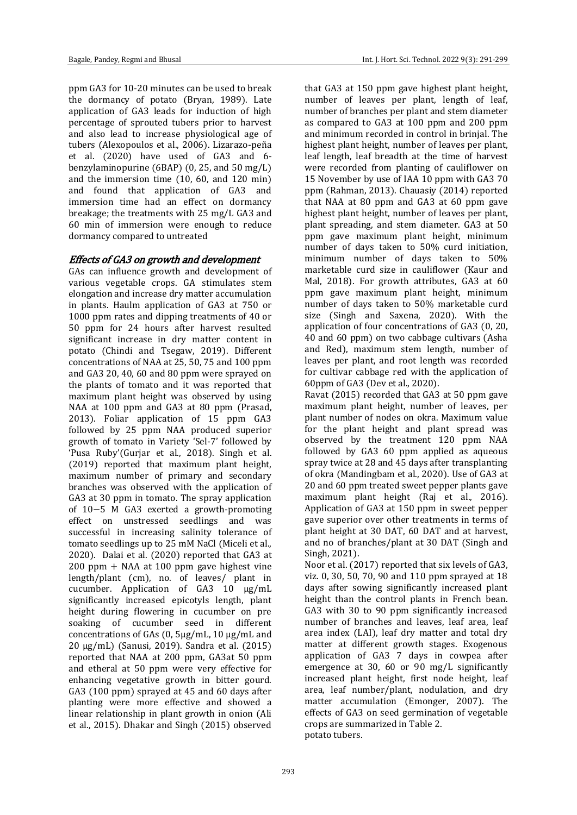ppm GA3 for 10-20 minutes can be used to break the dormancy of potato (Bryan, 1989). Late application of GA3 leads for induction of high percentage of sprouted tubers prior to harvest and also lead to increase physiological age of tubers (Alexopoulos et al., 2006). Lizarazo-peña et al. (2020) have used of GA3 and 6 benzylaminopurine (6BAP) (0, 25, and 50 mg/L) and the immersion time (10, 60, and 120 min) and found that application of GA3 and immersion time had an effect on dormancy breakage; the treatments with 25 mg/L GA3 and 60 min of immersion were enough to reduce dormancy compared to untreated

# Effects of GA3 on growth and development

GAs can influence growth and development of various vegetable crops. GA stimulates stem elongation and increase dry matter accumulation in plants. Haulm application of GA3 at 750 or 1000 ppm rates and dipping treatments of 40 or 50 ppm for 24 hours after harvest resulted significant increase in dry matter content in potato (Chindi and Tsegaw, 2019). Different concentrations of NAA at 25, 50, 75 and 100 ppm and GA3 20, 40, 60 and 80 ppm were sprayed on the plants of tomato and it was reported that maximum plant height was observed by using NAA at 100 ppm and GA3 at 80 ppm (Prasad, 2013). Foliar application of 15 ppm GA3 followed by 25 ppm NAA produced superior growth of tomato in Variety 'Sel-7' followed by 'Pusa Ruby'(Gurjar et al., 2018). Singh et al. (2019) reported that maximum plant height, maximum number of primary and secondary branches was observed with the application of GA3 at 30 ppm in tomato. The spray application of 10−5 M GA3 exerted a growth-promoting effect on unstressed seedlings and was successful in increasing salinity tolerance of tomato seedlings up to 25 mM NaCl (Miceli et al., 2020). Dalai et al. (2020) reported that GA3 at 200 ppm + NAA at 100 ppm gave highest vine length/plant (cm), no. of leaves/ plant in cucumber. Application of GA3 10 μg/mL significantly increased epicotyls length, plant height during flowering in cucumber on pre soaking of cucumber seed in different concentrations of GAs (0, 5μg/mL, 10 μg/mL and 20 μg/mL) (Sanusi, 2019). Sandra et al. (2015) reported that NAA at 200 ppm, GA3at 50 ppm and etheral at 50 ppm were very effective for enhancing vegetative growth in bitter gourd. GA3 (100 ppm) sprayed at 45 and 60 days after planting were more effective and showed a linear relationship in plant growth in onion (Ali et al., 2015). Dhakar and Singh (2015) observed

that GA3 at 150 ppm gave highest plant height, number of leaves per plant, length of leaf, number of branches per plant and stem diameter as compared to GA3 at 100 ppm and 200 ppm and minimum recorded in control in brinjal. The highest plant height, number of leaves per plant, leaf length, leaf breadth at the time of harvest were recorded from planting of cauliflower on 15 November by use of IAA 10 ppm with GA3 70 ppm (Rahman, 2013). Chauasiy (2014) reported that NAA at 80 ppm and GA3 at 60 ppm gave highest plant height, number of leaves per plant, plant spreading, and stem diameter. GA3 at 50 ppm gave maximum plant height, minimum number of days taken to 50% curd initiation, minimum number of days taken to 50% marketable curd size in cauliflower (Kaur and Mal, 2018). For growth attributes, GA3 at 60 ppm gave maximum plant height, minimum number of days taken to 50% marketable curd size (Singh and Saxena, 2020). With the application of four concentrations of GA3 (0, 20, 40 and 60 ppm) on two cabbage cultivars (Asha and Red), maximum stem length, number of leaves per plant, and root length was recorded for cultivar cabbage red with the application of 60ppm of GA3 (Dev et al., 2020).

Ravat (2015) recorded that GA3 at 50 ppm gave maximum plant height, number of leaves, per plant number of nodes on okra. Maximum value for the plant height and plant spread was observed by the treatment 120 ppm NAA followed by GA3 60 ppm applied as aqueous spray twice at 28 and 45 days after transplanting of okra (Mandingbam et al., 2020). Use of GA3 at 20 and 60 ppm treated sweet pepper plants gave maximum plant height (Raj et al., 2016). Application of GA3 at 150 ppm in sweet pepper gave superior over other treatments in terms of plant height at 30 DAT, 60 DAT and at harvest, and no of branches/plant at 30 DAT (Singh and Singh, 2021).

Noor et al. (2017) reported that six levels of GA3, viz. 0, 30, 50, 70, 90 and 110 ppm sprayed at 18 days after sowing significantly increased plant height than the control plants in French bean. GA3 with 30 to 90 ppm significantly increased number of branches and leaves, leaf area, leaf area index (LAI), leaf dry matter and total dry matter at different growth stages. Exogenous application of GA3 7 days in cowpea after emergence at 30, 60 or 90 mg/L significantly increased plant height, first node height, leaf area, leaf number/plant, nodulation, and dry matter accumulation (Emonger, 2007). The effects of GA3 on seed germination of vegetable crops are summarized in Table 2. potato tubers.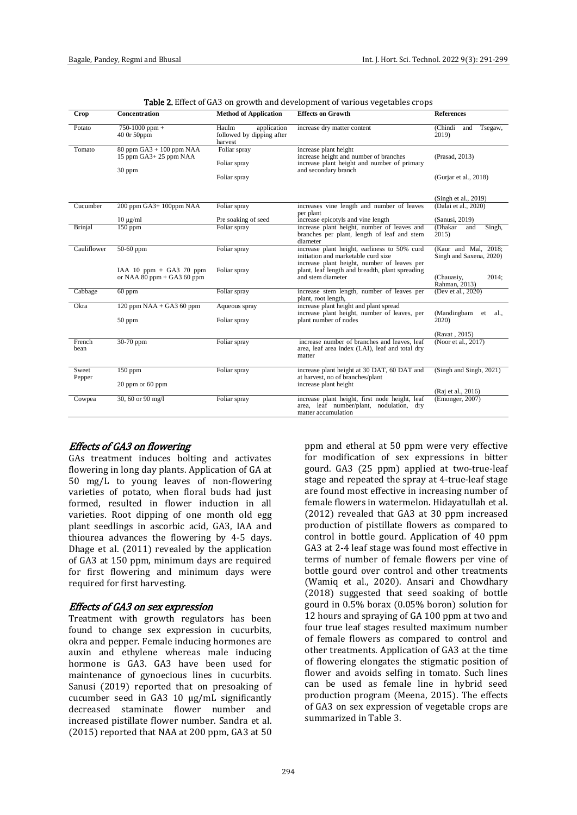| Crop            | Concentration                                               | <b>Method of Application</b>                                 | <b>Effects on Growth</b>                                                                                                           | <b>References</b>                               |
|-----------------|-------------------------------------------------------------|--------------------------------------------------------------|------------------------------------------------------------------------------------------------------------------------------------|-------------------------------------------------|
| Potato          | $750-1000$ ppm +<br>40 Or 50ppm                             | Haulm<br>application<br>followed by dipping after<br>harvest | increase dry matter content                                                                                                        | (Chindi<br>Tsegaw,<br>and<br>2019)              |
| Tomato          | $80$ ppm $GA3 + 100$ ppm NAA<br>15 ppm GA3+ 25 ppm NAA      | Foliar spray<br>Foliar spray                                 | increase plant height<br>increase height and number of branches<br>increase plant height and number of primary                     | (Prasad, 2013)                                  |
|                 | $30$ ppm                                                    | Foliar spray                                                 | and secondary branch                                                                                                               | (Gurjar et al., 2018)                           |
|                 |                                                             |                                                              |                                                                                                                                    | (Singh et al., 2019)                            |
| Cucumber        | $200$ ppm $GA3+100$ ppm NAA                                 | Foliar spray                                                 | increases vine length and number of leaves<br>per plant                                                                            | (Dalai et al., 2020)                            |
|                 | $10 \mu g/ml$                                               | Pre soaking of seed                                          | increase epicotyls and vine length                                                                                                 | (Sanusi, 2019)                                  |
| <b>Brinjal</b>  | $150$ ppm                                                   | Foliar spray                                                 | increase plant height, number of leaves and<br>branches per plant, length of leaf and stem<br>diameter                             | (Dhakar<br>Singh,<br>and<br>2015                |
| Cauliflower     | $50-60$ ppm                                                 | Foliar spray                                                 | increase plant height, earliness to 50% curd<br>initiation and marketable curd size<br>increase plant height, number of leaves per | (Kaur and Mal, 2018;<br>Singh and Saxena, 2020) |
|                 | IAA $10$ ppm + GA3 70 ppm<br>or NAA $80$ ppm + GA3 $60$ ppm | Foliar spray                                                 | plant, leaf length and breadth, plant spreading<br>and stem diameter                                                               | 2014;<br>(Chauasiy,<br>Rahman, 2013)            |
| Cabbage         | $60$ ppm                                                    | Foliar spray                                                 | increase stem length, number of leaves per<br>plant, root length,                                                                  | (Dev et al., 2020)                              |
| Okra            | 120 ppm $NAA + GA360$ ppm                                   | Aqueous spray                                                | increase plant height and plant spread<br>increase plant height, number of leaves, per                                             | (Mandingbam et<br>al.                           |
|                 | $50$ ppm                                                    | Foliar spray                                                 | plant number of nodes                                                                                                              | 2020)                                           |
|                 |                                                             |                                                              |                                                                                                                                    | (Ravat, 2015)                                   |
| French<br>bean  | $30-70$ ppm                                                 | Foliar spray                                                 | increase number of branches and leaves, leaf<br>area, leaf area index (LAI), leaf and total dry<br>matter                          | (Noor et al., 2017)                             |
| Sweet<br>Pepper | $150$ ppm                                                   | Foliar spray                                                 | increase plant height at 30 DAT, 60 DAT and<br>at harvest, no of branches/plant                                                    | (Singh and Singh, 2021)                         |
|                 | 20 ppm or 60 ppm                                            |                                                              | increase plant height                                                                                                              | (Raj et al., 2016)                              |
| Cowpea          | 30, 60 or 90 mg/l                                           | Foliar spray                                                 | increase plant height, first node height, leaf<br>area, leaf number/plant,<br>nodulation, drv<br>matter accumulation               | (Emonger, 2007)                                 |

Table 2. Effect of GA3 on growth and development of various vegetables crops

#### Effects of GA3 on flowering

GAs treatment induces bolting and activates flowering in long day plants. Application of GA at 50 mg/L to young leaves of non-flowering varieties of potato, when floral buds had just formed, resulted in flower induction in all varieties. Root dipping of one month old egg plant seedlings in ascorbic acid, GA3, IAA and thiourea advances the flowering by 4-5 days. Dhage et al. (2011) revealed by the application of GA3 at 150 ppm, minimum days are required for first flowering and minimum days were required for first harvesting.

#### Effects of GA3 on sex expression

Treatment with growth regulators has been found to change sex expression in cucurbits, okra and pepper. Female inducing hormones are auxin and ethylene whereas male inducing hormone is GA3. GA3 have been used for maintenance of gynoecious lines in cucurbits. Sanusi (2019) reported that on presoaking of cucumber seed in GA3 10 μg/mL significantly decreased staminate flower number and increased pistillate flower number. Sandra et al. (2015) reported that NAA at 200 ppm, GA3 at 50

ppm and etheral at 50 ppm were very effective for modification of sex expressions in bitter gourd. GA3 (25 ppm) applied at two-true-leaf stage and repeated the spray at 4-true-leaf stage are found most effective in increasing number of female flowers in watermelon. Hidayatullah et al. (2012) revealed that GA3 at 30 ppm increased production of pistillate flowers as compared to control in bottle gourd. Application of 40 ppm GA3 at 2-4 leaf stage was found most effective in terms of number of female flowers per vine of bottle gourd over control and other treatments (Wamiq et al., 2020). Ansari and Chowdhary (2018) suggested that seed soaking of bottle gourd in 0.5% borax (0.05% boron) solution for 12 hours and spraying of GA 100 ppm at two and four true leaf stages resulted maximum number of female flowers as compared to control and other treatments. Application of GA3 at the time of flowering elongates the stigmatic position of flower and avoids selfing in tomato. Such lines can be used as female line in hybrid seed production program (Meena, 2015). The effects of GA3 on sex expression of vegetable crops are summarized in Table 3.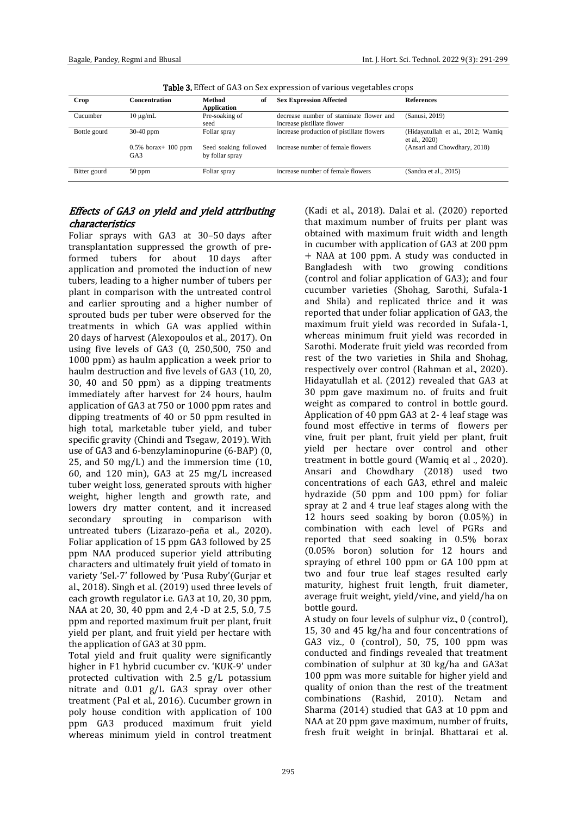| Crop         | Concentration                              | Method<br>of<br>Application              | <b>Sex Expression Affected</b>                                        | <b>References</b>                                  |
|--------------|--------------------------------------------|------------------------------------------|-----------------------------------------------------------------------|----------------------------------------------------|
| Cucumber     | $10 \mu g/mL$                              | Pre-soaking of<br>seed                   | decrease number of staminate flower and<br>increase pistillate flower | (Sanusi, 2019)                                     |
| Bottle gourd | $30-40$ ppm                                | Foliar spray                             | increase production of pistillate flowers                             | (Hidayatullah et al., 2012; Wamiq<br>et al., 2020) |
|              | $0.5\%$ borax + 100 ppm<br>GA <sub>3</sub> | Seed soaking followed<br>by foliar spray | increase number of female flowers                                     | (Ansari and Chowdhary, 2018)                       |
| Bitter gourd | $50$ ppm                                   | Foliar spray                             | increase number of female flowers                                     | (Sandra et al., 2015)                              |

Table 3. Effect of GA3 on Sex expression of various vegetables crops

# Effects of GA3 on yield and yield attributing characteristics

Foliar sprays with GA3 at 30–50 days after transplantation suppressed the growth of preformed tubers for about 10 days after application and promoted the induction of new tubers, leading to a higher number of tubers per plant in comparison with the untreated control and earlier sprouting and a higher number of sprouted buds per tuber were observed for the treatments in which GA was applied within 20 days of harvest (Alexopoulos et al., 2017). On using five levels of GA3 (0, 250,500, 750 and 1000 ppm) as haulm application a week prior to haulm destruction and five levels of GA3 (10, 20, 30, 40 and 50 ppm) as a dipping treatments immediately after harvest for 24 hours, haulm application of GA3 at 750 or 1000 ppm rates and dipping treatments of 40 or 50 ppm resulted in high total, marketable tuber yield, and tuber specific gravity (Chindi and Tsegaw, 2019). With use of GA3 and 6-benzylaminopurine (6-BAP) (0, 25, and 50 mg/L) and the immersion time (10, 60, and 120 min), GA3 at 25 mg/L increased tuber weight loss, generated sprouts with higher weight, higher length and growth rate, and lowers dry matter content, and it increased secondary sprouting in comparison with untreated tubers (Lizarazo-peña et al., 2020). Foliar application of 15 ppm GA3 followed by 25 ppm NAA produced superior yield attributing characters and ultimately fruit yield of tomato in variety 'Sel.-7' followed by 'Pusa Ruby'(Gurjar et al., 2018). Singh et al. (2019) used three levels of each growth regulator i.e. GA3 at 10, 20, 30 ppm, NAA at 20, 30, 40 ppm and 2,4 -D at 2.5, 5.0, 7.5 ppm and reported maximum fruit per plant, fruit yield per plant, and fruit yield per hectare with the application of GA3 at 30 ppm.

Total yield and fruit quality were significantly higher in F1 hybrid cucumber cv. 'KUK-9' under protected cultivation with 2.5 g/L potassium nitrate and 0.01 g/L GA3 spray over other treatment (Pal et al., 2016). Cucumber grown in poly house condition with application of 100 ppm GA3 produced maximum fruit yield whereas minimum yield in control treatment

(Kadi et al., 2018). Dalai et al. (2020) reported that maximum number of fruits per plant was obtained with maximum fruit width and length in cucumber with application of GA3 at 200 ppm + NAA at 100 ppm. A study was conducted in Bangladesh with two growing conditions (control and foliar application of GA3); and four cucumber varieties (Shohag, Sarothi, Sufala-1 and Shila) and replicated thrice and it was reported that under foliar application of GA3, the maximum fruit yield was recorded in Sufala-1, whereas minimum fruit yield was recorded in Sarothi. Moderate fruit yield was recorded from rest of the two varieties in Shila and Shohag, respectively over control (Rahman et al., 2020). Hidayatullah et al. (2012) revealed that GA3 at 30 ppm gave maximum no. of fruits and fruit weight as compared to control in bottle gourd. Application of 40 ppm GA3 at 2- 4 leaf stage was found most effective in terms of flowers per vine, fruit per plant, fruit yield per plant, fruit yield per hectare over control and other treatment in bottle gourd (Wamiq et al ., 2020). Ansari and Chowdhary (2018) used two concentrations of each GA3, ethrel and maleic hydrazide (50 ppm and 100 ppm) for foliar spray at 2 and 4 true leaf stages along with the 12 hours seed soaking by boron (0.05%) in combination with each level of PGRs and reported that seed soaking in 0.5% borax (0.05% boron) solution for 12 hours and spraying of ethrel 100 ppm or GA 100 ppm at two and four true leaf stages resulted early maturity, highest fruit length, fruit diameter, average fruit weight, yield/vine, and yield/ha on bottle gourd.

A study on four levels of sulphur viz., 0 (control), 15, 30 and 45 kg/ha and four concentrations of GA3 viz., 0 (control), 50, 75, 100 ppm was conducted and findings revealed that treatment combination of sulphur at 30 kg/ha and GA3at 100 ppm was more suitable for higher yield and quality of onion than the rest of the treatment combinations (Rashid, 2010). Netam and Sharma (2014) studied that GA3 at 10 ppm and NAA at 20 ppm gave maximum, number of fruits, fresh fruit weight in brinjal. Bhattarai et al.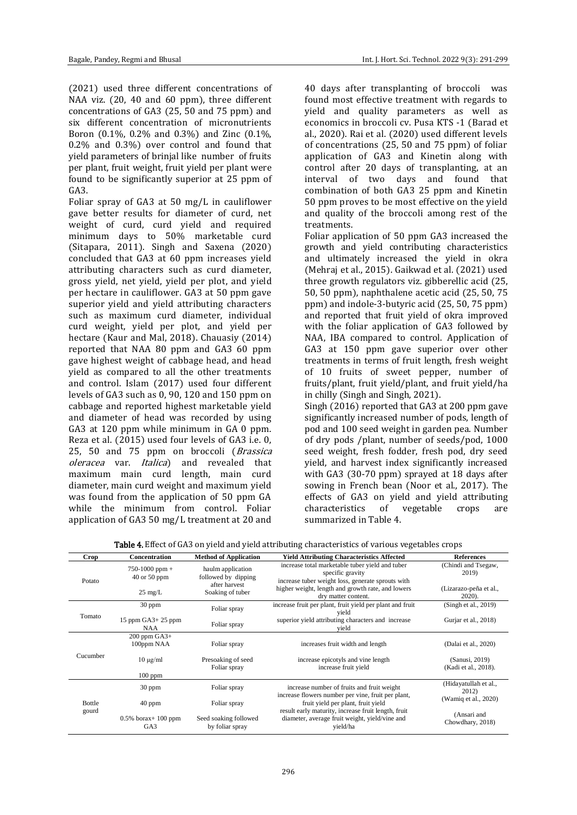(2021) used three different concentrations of NAA viz. (20, 40 and 60 ppm), three different concentrations of GA3 (25, 50 and 75 ppm) and six different concentration of micronutrients Boron (0.1%, 0.2% and 0.3%) and Zinc (0.1%, 0.2% and 0.3%) over control and found that yield parameters of brinjal like number of fruits per plant, fruit weight, fruit yield per plant were found to be significantly superior at 25 ppm of GA3.

Foliar spray of GA3 at 50 mg/L in cauliflower gave better results for diameter of curd, net weight of curd, curd yield and required minimum days to 50% marketable curd (Sitapara, 2011). Singh and Saxena (2020) concluded that GA3 at 60 ppm increases yield attributing characters such as curd diameter, gross yield, net yield, yield per plot, and yield per hectare in cauliflower. GA3 at 50 ppm gave superior yield and yield attributing characters such as maximum curd diameter, individual curd weight, yield per plot, and yield per hectare (Kaur and Mal, 2018). Chauasiy (2014) reported that NAA 80 ppm and GA3 60 ppm gave highest weight of cabbage head, and head yield as compared to all the other treatments and control. Islam (2017) used four different levels of GA3 such as 0, 90, 120 and 150 ppm on cabbage and reported highest marketable yield and diameter of head was recorded by using GA3 at 120 ppm while minimum in GA 0 ppm. Reza et al. (2015) used four levels of GA3 i.e. 0, 25, 50 and 75 ppm on broccoli (Brassica oleracea var. Italica) and revealed that maximum main curd length, main curd diameter, main curd weight and maximum yield was found from the application of 50 ppm GA while the minimum from control. Foliar application of GA3 50 mg/L treatment at 20 and

40 days after transplanting of broccoli was found most effective treatment with regards to yield and quality parameters as well as economics in broccoli cv. Pusa KTS -1 (Barad et al., 2020). Rai et al. (2020) used different levels of concentrations (25, 50 and 75 ppm) of foliar application of GA3 and Kinetin along with control after 20 days of transplanting, at an interval of two days and found that combination of both GA3 25 ppm and Kinetin 50 ppm proves to be most effective on the yield and quality of the broccoli among rest of the treatments.

Foliar application of 50 ppm GA3 increased the growth and yield contributing characteristics and ultimately increased the yield in okra (Mehraj et al., 2015). Gaikwad et al. (2021) used three growth regulators viz. gibberellic acid (25, 50, 50 ppm), naphthalene acetic acid (25, 50, 75 ppm) and indole-3-butyric acid (25, 50, 75 ppm) and reported that fruit yield of okra improved with the foliar application of GA3 followed by NAA, IBA compared to control. Application of GA3 at 150 ppm gave superior over other treatments in terms of fruit length, fresh weight of 10 fruits of sweet pepper, number of fruits/plant, fruit yield/plant, and fruit yield/ha in chilly (Singh and Singh, 2021).

Singh (2016) reported that GA3 at 200 ppm gave significantly increased number of pods, length of pod and 100 seed weight in garden pea. Number of dry pods /plant, number of seeds/pod, 1000 seed weight, fresh fodder, fresh pod, dry seed yield, and harvest index significantly increased with GA3 (30-70 ppm) sprayed at 18 days after sowing in French bean (Noor et al., 2017). The effects of GA3 on yield and yield attributing characteristics of vegetable crops are summarized in Table 4.

| Crop            | Concentration                                               | <b>Method of Application</b>                                                  | <b>Yield Attributing Characteristics Affected</b>                                                                                                                             | <b>References</b>                                      |
|-----------------|-------------------------------------------------------------|-------------------------------------------------------------------------------|-------------------------------------------------------------------------------------------------------------------------------------------------------------------------------|--------------------------------------------------------|
| Potato          | $750-1000$ ppm $+$<br>$40$ or $50$ ppm<br>$25 \text{ mg/L}$ | haulm application<br>followed by dipping<br>after harvest<br>Soaking of tuber | increase total marketable tuber yield and tuber<br>specific gravity<br>increase tuber weight loss, generate sprouts with<br>higher weight, length and growth rate, and lowers | (Chindi and Tsegaw,<br>2019)<br>(Lizarazo-peña et al., |
|                 |                                                             |                                                                               | dry matter content.                                                                                                                                                           | $2020$ ).                                              |
| Tomato          | $30$ ppm                                                    | Foliar spray                                                                  | increase fruit per plant, fruit yield per plant and fruit<br>yield                                                                                                            | (Singh et al., 2019)                                   |
|                 | 15 ppm $GA3+25$ ppm<br><b>NAA</b>                           | Foliar spray                                                                  | superior yield attributing characters and increase<br>yield                                                                                                                   | Gurjar et al., 2018)                                   |
| Cucumber        | $200$ ppm $GA3+$<br>100ppm NAA                              | Foliar spray                                                                  | increases fruit width and length                                                                                                                                              | (Dalai et al., 2020)                                   |
|                 | $10 \mu g/ml$                                               | Presoaking of seed<br>Foliar spray                                            | increase epicotyls and vine length<br>increase fruit yield                                                                                                                    | (Sanusi, 2019)<br>(Kadi et al., 2018).                 |
|                 | $100$ ppm                                                   |                                                                               |                                                                                                                                                                               |                                                        |
| Bottle<br>gourd | $30$ ppm                                                    | Foliar spray                                                                  | increase number of fruits and fruit weight<br>increase flowers number per vine, fruit per plant,                                                                              | (Hidayatullah et al.,<br>2012)                         |
|                 | $40$ ppm                                                    | Foliar spray                                                                  | fruit yield per plant, fruit yield                                                                                                                                            | (Wamiq et al., 2020)                                   |
|                 | $0.5\%$ borax + 100 ppm<br>GA <sub>3</sub>                  | Seed soaking followed<br>by foliar spray                                      | result early maturity, increase fruit length, fruit<br>diameter, average fruit weight, yield/vine and<br>yield/ha                                                             | (Ansari and<br>Chowdhary, 2018)                        |

Table 4. Effect of GA3 on yield and yield attributing characteristics of various vegetables crops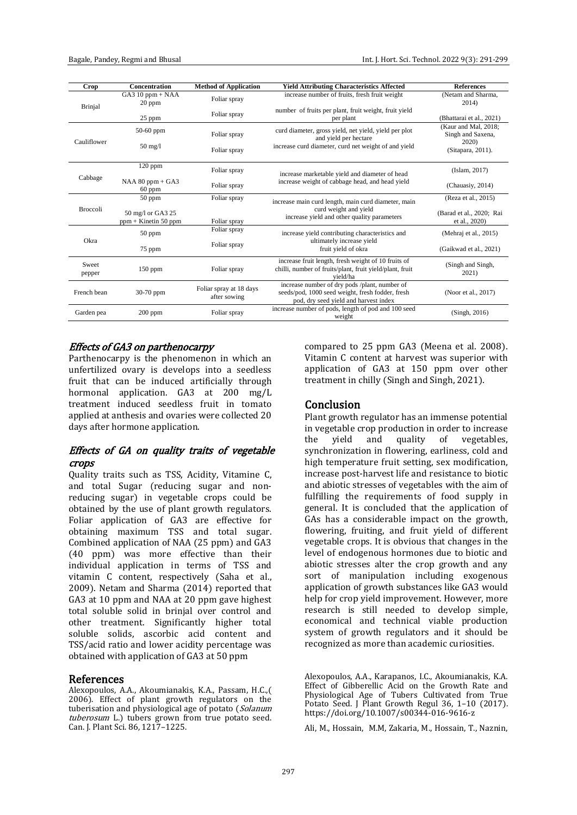| Crop            | <b>Concentration</b>                      | <b>Method of Application</b>            | <b>Yield Attributing Characteristics Affected</b>                                                                                          | <b>References</b>                         |
|-----------------|-------------------------------------------|-----------------------------------------|--------------------------------------------------------------------------------------------------------------------------------------------|-------------------------------------------|
| <b>Brinjal</b>  | $G_A310$ ppm + NAA<br>20 ppm              | Foliar spray                            | increase number of fruits, fresh fruit weight                                                                                              | (Netam and Sharma,<br>2014)               |
|                 | 25 ppm                                    | Foliar spray                            | number of fruits per plant, fruit weight, fruit yield<br>per plant                                                                         | (Bhattarai et al., 2021)                  |
| Cauliflower     | $50-60$ ppm                               | Foliar spray                            | curd diameter, gross yield, net yield, yield per plot<br>and yield per hectare                                                             | (Kaur and Mal, 2018;<br>Singh and Saxena, |
|                 | $50 \text{ mg/l}$                         | Foliar spray                            | increase curd diameter, curd net weight of and yield                                                                                       | <b>2020</b> )<br>(Sitapara, 2011).        |
| Cabbage         | $120$ ppm                                 | Foliar spray                            | increase marketable yield and diameter of head                                                                                             | (Islam, 2017)                             |
|                 | $NAA 80 ppm + GA3$<br>$60$ ppm            | Foliar spray                            | increase weight of cabbage head, and head yield                                                                                            | (Chauasiy, 2014)                          |
| <b>Broccoli</b> | $50$ ppm                                  | Foliar spray                            | increase main curd length, main curd diameter, main                                                                                        | (Reza et al., 2015)                       |
|                 | 50 mg/l or GA3 25<br>ppm + Kinetin 50 ppm | Foliar spray                            | curd weight and yield<br>increase yield and other quality parameters                                                                       | (Barad et al., 2020; Rai<br>et al., 2020) |
|                 | $50$ ppm                                  | Foliar spray                            | increase yield contributing characteristics and                                                                                            | (Mehraj et al., 2015)                     |
| Okra            | 75 ppm                                    | Foliar spray                            | ultimately increase yield<br>fruit yield of okra                                                                                           | (Gaikwad et al., 2021)                    |
| Sweet<br>pepper | $150$ ppm                                 | Foliar spray                            | increase fruit length, fresh weight of 10 fruits of<br>chilli, number of fruits/plant, fruit yield/plant, fruit<br>vield/ha                | (Singh and Singh,<br>2021)                |
| French bean     | $30-70$ ppm                               | Foliar spray at 18 days<br>after sowing | increase number of dry pods /plant, number of<br>seeds/pod, 1000 seed weight, fresh fodder, fresh<br>pod, dry seed yield and harvest index | (Noor et al., 2017)                       |
| Garden pea      | $200$ ppm                                 | Foliar spray                            | increase number of pods, length of pod and 100 seed<br>weight                                                                              | (Singh, 2016)                             |

# Effects of GA3 on parthenocarpy

Parthenocarpy is the phenomenon in which an unfertilized ovary is develops into a seedless fruit that can be induced artificially through hormonal application. GA3 at 200 mg/L treatment induced seedless fruit in tomato applied at anthesis and ovaries were collected 20 days after hormone application.

# Effects of GA on quality traits of vegetable crops

Quality traits such as TSS, Acidity, Vitamine C, and total Sugar (reducing sugar and nonreducing sugar) in vegetable crops could be obtained by the use of plant growth regulators. Foliar application of GA3 are effective for obtaining maximum TSS and total sugar. Combined application of NAA (25 ppm) and GA3 (40 ppm) was more effective than their individual application in terms of TSS and vitamin C content, respectively (Saha et al., 2009). Netam and Sharma (2014) reported that GA3 at 10 ppm and NAA at 20 ppm gave highest total soluble solid in brinjal over control and other treatment. Significantly higher total soluble solids, ascorbic acid content and TSS/acid ratio and lower acidity percentage was obtained with application of GA3 at 50 ppm

#### References

Alexopoulos, A.A., Akoumianakis, K.A., Passam, H.C.,( 2006). Effect of plant growth regulators on the tuberisation and physiological age of potato (Solanum tuberosum L.) tubers grown from true potato seed. Can. J. Plant Sci. 86, 1217–1225.

compared to 25 ppm GA3 (Meena et al. 2008). Vitamin C content at harvest was superior with application of GA3 at 150 ppm over other treatment in chilly (Singh and Singh, 2021).

#### Conclusion

Plant growth regulator has an immense potential in vegetable crop production in order to increase the yield and quality of vegetables, synchronization in flowering, earliness, cold and high temperature fruit setting, sex modification, increase post-harvest life and resistance to biotic and abiotic stresses of vegetables with the aim of fulfilling the requirements of food supply in general. It is concluded that the application of GAs has a considerable impact on the growth, flowering, fruiting, and fruit yield of different vegetable crops. It is obvious that changes in the level of endogenous hormones due to biotic and abiotic stresses alter the crop growth and any sort of manipulation including exogenous application of growth substances like GA3 would help for crop yield improvement. However, more research is still needed to develop simple, economical and technical viable production system of growth regulators and it should be recognized as more than academic curiosities.

Alexopoulos, A.A., Karapanos, I.C., Akoumianakis, K.A. Effect of Gibberellic Acid on the Growth Rate and Physiological Age of Tubers Cultivated from True Potato Seed. J Plant Growth Regul 36, 1–10 (2017). https://doi.org/10.1007/s00344-016-9616-z

Ali, M., Hossain, M.M, Zakaria, M., Hossain, T., Naznin,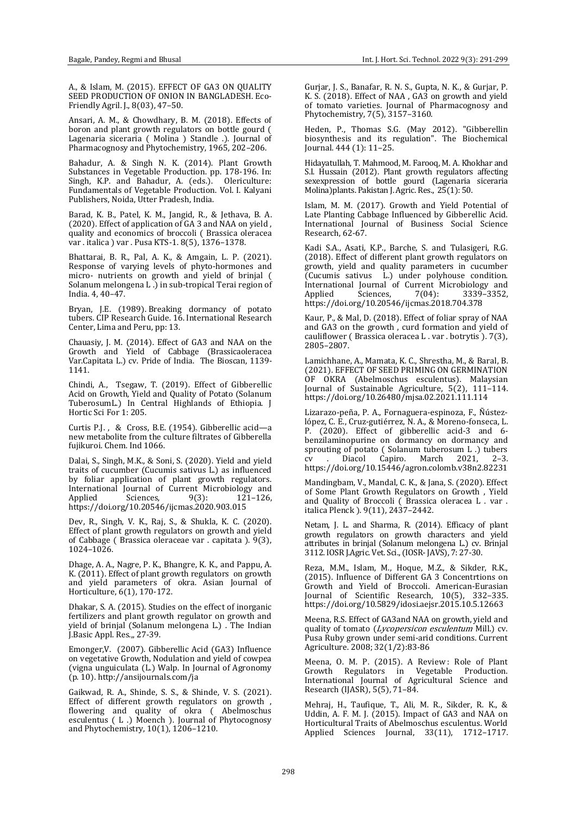A., & Islam, M. (2015). EFFECT OF GA3 ON QUALITY SEED PRODUCTION OF ONION IN BANGLADESH. Eco-Friendly Agril. J., 8(03), 47–50.

Ansari, A. M., & Chowdhary, B. M. (2018). Effects of boron and plant growth regulators on bottle gourd ( Lagenaria siceraria ( Molina ) Standle .). Journal of Pharmacognosy and Phytochemistry, 1965, 202–206.

Bahadur, A. & Singh N. K. (2014). Plant Growth Substances in Vegetable Production. pp. 178-196. In: Singh, K.P. and Bahadur, A. (eds.). Olericulture: Fundamentals of Vegetable Production. Vol. I. Kalyani Publishers, Noida, Utter Pradesh, India.

Barad, K. B., Patel, K. M., Jangid, R., & Jethava, B. A. (2020). Effect of application of GA 3 and NAA on yield , quality and economics of broccoli ( Brassica oleracea var . italica ) var . Pusa KTS-1. 8(5), 1376–1378.

Bhattarai, B. R., Pal, A. K., & Amgain, L. P. (2021). Response of varying levels of phyto-hormones and micro- nutrients on growth and yield of brinjal ( Solanum melongena L .) in sub-tropical Terai region of India. 4, 40–47.

Bryan, J.E. (1989). Breaking dormancy of potato tubers. CIP Research Guide. 16. International Research Center, Lima and Peru, pp: 13.

Chauasiy, J. M. (2014). Effect of GA3 and NAA on the Growth and Yield of Cabbage (Brassicaoleracea Var.Capitata L.) cv. Pride of India. The Bioscan, 1139- 1141.

Chindi, A., Tsegaw, T. (2019). Effect of Gibberellic Acid on Growth, Yield and Quality of Potato (Solanum TuberosumL.) In Central Highlands of Ethiopia. J Hortic Sci For 1: 205.

Curtis P.J. , & Cross, B.E. (1954). Gibberellic acid—a new metabolite from the culture filtrates of Gibberella fujikuroi. Chem. Ind 1066.

Dalai, S., Singh, M.K., & Soni, S. (2020). Yield and yield traits of cucumber (Cucumis sativus L.) as influenced by foliar application of plant growth regulators. International Journal of Current Microbiology and<br>Applied Sciences, 9(3): 121-126, Applied Sciences, 9(3): 121–126, https://doi.org/10.20546/ijcmas.2020.903.015

Dev, R., Singh, V. K., Raj, S., & Shukla, K. C. (2020). Effect of plant growth regulators on growth and yield of Cabbage ( Brassica oleraceae var . capitata ). 9(3), 1024–1026.

Dhage, A. A., Nagre, P. K., Bhangre, K. K., and Pappu, A. K. (2011). Effect of plant growth regulators on growth and yield parameters of okra. Asian Journal of Horticulture, 6(1), 170-172.

Dhakar, S. A. (2015). Studies on the effect of inorganic fertilizers and plant growth regulator on growth and yield of brinjal (Solanum melongena L.) . The Indian J.Basic Appl. Res.,, 27-39.

Emonger,V. (2007). Gibberellic Acid (GA3) Influence on vegetative Growth, Nodulation and yield of cowpea (vigna unguiculata (L.) Walp. In Journal of Agronomy (p. 10). http://ansijournals.com/ja

Gaikwad, R. A., Shinde, S. S., & Shinde, V. S. (2021). Effect of different growth regulators on growth , flowering and quality of okra ( Abelmoschus esculentus ( L .) Moench ). Journal of Phytocognosy and Phytochemistry, 10(1), 1206–1210.

Gurjar, J. S., Banafar, R. N. S., Gupta, N. K., & Gurjar, P. K. S. (2018). Effect of NAA , GA3 on growth and yield of tomato varieties. Journal of Pharmacognosy and Phytochemistry, 7(5), 3157–3160.

Heden, P., Thomas S.G. (May 2012). "Gibberellin biosynthesis and its regulation". The Biochemical Journal. 444 (1): 11–25.

Hidayatullah, T. Mahmood, M. Farooq, M. A. Khokhar and S.I. Hussain (2012). Plant growth regulators affecting sexexpression of bottle gourd (Lagenaria siceraria Molina)plants. Pakistan J. Agric. Res., 25(1): 50.

Islam, M. M. (2017). Growth and Yield Potential of Late Planting Cabbage Influenced by Gibberellic Acid. International Journal of Business Social Science Research, 62-67.

Kadi S.A., Asati, K.P., Barche, S. and Tulasigeri, R.G. (2018). Effect of different plant growth regulators on growth, yield and quality parameters in cucumber (Cucumis sativus L.) under polyhouse condition. International Journal of Current Microbiology and<br>Applied Sciences, 7(04): 3339-3352,  $3339 - 3352$ . https://doi.org/10.20546/ijcmas.2018.704.378

Kaur, P., & Mal, D. (2018). Effect of foliar spray of NAA and GA3 on the growth , curd formation and yield of cauliflower ( Brassica oleracea L . var . botrytis ). 7(3), 2805–2807.

Lamichhane, A., Mamata, K. C., Shrestha, M., & Baral, B. (2021). EFFECT OF SEED PRIMING ON GERMINATION OF OKRA (Abelmoschus esculentus). Malaysian Journal of Sustainable Agriculture,  $5(2)$ , 111-114. https://doi.org/10.26480/mjsa.02.2021.111.114

Lizarazo-peña, P. A., Fornaguera-espinoza, F., Ñústezlópez, C. E., Cruz-gutiérrez, N. A., & Moreno-fonseca, L. P. (2020). Effect of gibberellic acid-3 and 6 benzilaminopurine on dormancy on dormancy and sprouting of potato (Solanum tuberosum L.) tubers<br>cv . Diacol Capiro. March 2021, 2-3. cv . Diacol Capiro. March 2021, 2–3. https://doi.org/10.15446/agron.colomb.v38n2.82231

Mandingbam, V., Mandal, C. K., & Jana, S. (2020). Effect of Some Plant Growth Regulators on Growth , Yield and Quality of Broccoli ( Brassica oleracea L . var . italica Plenck ). 9(11), 2437–2442.

Netam, J. L. and Sharma, R. (2014). Efficacy of plant growth regulators on growth characters and yield attributes in brinjal (Solanum melongena L.) cv. Brinjal 3112. IOSR J.Agric. Vet. Sci., (IOSR- JAVS), 7: 27-30.

Reza, M.M., Islam, M., Hoque, M.Z., & Sikder, R.K., (2015). Influence of Different GA 3 Concentrtions on Growth and Yield of Broccoli. American-Eurasian Journal of Scientific Research, 10(5), 332–335. https://doi.org/10.5829/idosi.aejsr.2015.10.5.12663

Meena, R.S. Effect of GA3and NAA on growth, yield and quality of tomato (Lycopersicon esculentum Mill.) cv. Pusa Ruby grown under semi-arid conditions. Current Agriculture. 2008; 32(1/2):83-86

Meena, O. M. P. (2015). A Review: Role of Plant Growth Regulators in Vegetable Production. International Journal of Agricultural Science and Research (IJASR), 5(5), 71–84.

Mehraj, H., Taufique, T., Ali, M. R., Sikder, R. K., & Uddin, A. F. M. J. (2015). Impact of GA3 and NAA on Horticultural Traits of Abelmoschus esculentus. World Applied Sciences Journal, 33(11), 1712–1717.